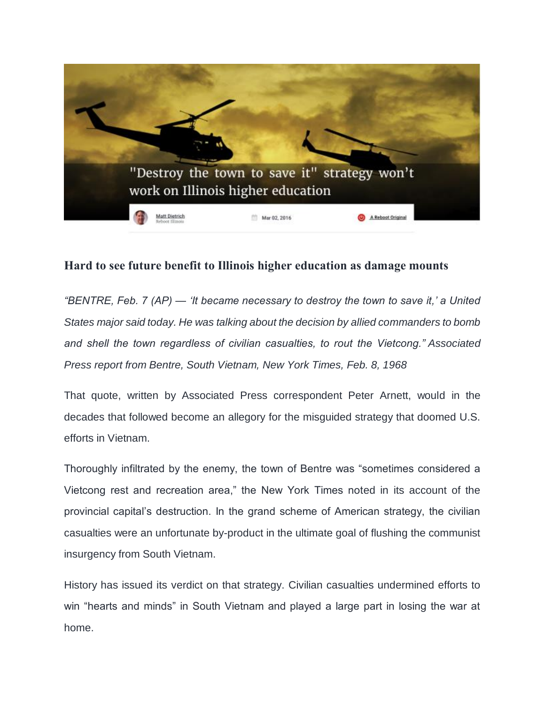

## **Hard to see future benefit to Illinois higher education as damage mounts**

*"BENTRE, Feb. 7 (AP) — 'It became necessary to destroy the town to save it,' a United States major said today. He was talking about the decision by allied commanders to bomb and shell the town regardless of civilian casualties, to rout the Vietcong." Associated Press report from Bentre, South Vietnam, New York Times, Feb. 8, 1968*

That quote, written by Associated Press correspondent Peter Arnett, would in the decades that followed become an allegory for the misguided strategy that doomed U.S. efforts in Vietnam.

Thoroughly infiltrated by the enemy, the town of Bentre was "sometimes considered a Vietcong rest and recreation area," the New York Times noted in its account of the provincial capital's destruction. In the grand scheme of American strategy, the civilian casualties were an unfortunate by-product in the ultimate goal of flushing the communist insurgency from South Vietnam.

History has issued its verdict on that strategy. Civilian casualties undermined efforts to win "hearts and minds" in South Vietnam and played a large part in losing the war at home.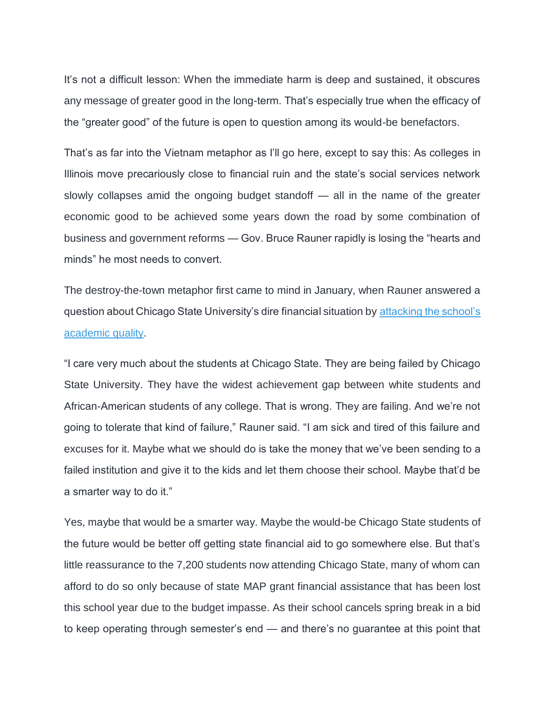It's not a difficult lesson: When the immediate harm is deep and sustained, it obscures any message of greater good in the long-term. That's especially true when the efficacy of the "greater good" of the future is open to question among its would-be benefactors.

That's as far into the Vietnam metaphor as I'll go here, except to say this: As colleges in Illinois move precariously close to financial ruin and the state's social services network slowly collapses amid the ongoing budget standoff — all in the name of the greater economic good to be achieved some years down the road by some combination of business and government reforms — Gov. Bruce Rauner rapidly is losing the "hearts and minds" he most needs to convert.

The destroy-the-town metaphor first came to mind in January, when Rauner answered a question about Chicago State University's dire financial situation by [attacking the school's](https://www.youtube.com/watch?v=hn-1pBQ1zBU)  [academic quality.](https://www.youtube.com/watch?v=hn-1pBQ1zBU)

"I care very much about the students at Chicago State. They are being failed by Chicago State University. They have the widest achievement gap between white students and African-American students of any college. That is wrong. They are failing. And we're not going to tolerate that kind of failure," Rauner said. "I am sick and tired of this failure and excuses for it. Maybe what we should do is take the money that we've been sending to a failed institution and give it to the kids and let them choose their school. Maybe that'd be a smarter way to do it."

Yes, maybe that would be a smarter way. Maybe the would-be Chicago State students of the future would be better off getting state financial aid to go somewhere else. But that's little reassurance to the 7,200 students now attending Chicago State, many of whom can afford to do so only because of state MAP grant financial assistance that has been lost this school year due to the budget impasse. As their school cancels spring break in a bid to keep operating through semester's end — and there's no guarantee at this point that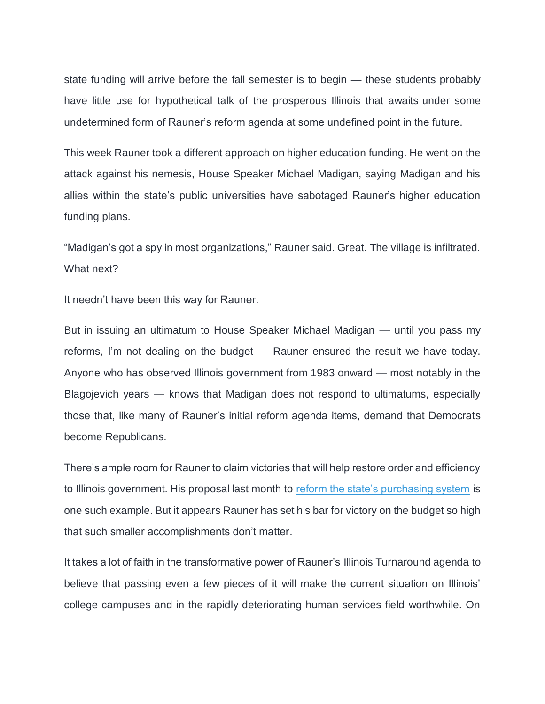state funding will arrive before the fall semester is to begin — these students probably have little use for hypothetical talk of the prosperous Illinois that awaits under some undetermined form of Rauner's reform agenda at some undefined point in the future.

This week Rauner took a different approach on higher education funding. He went on the attack against his nemesis, House Speaker Michael Madigan, saying Madigan and his allies within the state's public universities have sabotaged Rauner's higher education funding plans.

"Madigan's got a spy in most organizations," Rauner said. Great. The village is infiltrated. What next?

It needn't have been this way for Rauner.

But in issuing an ultimatum to House Speaker Michael Madigan — until you pass my reforms, I'm not dealing on the budget — Rauner ensured the result we have today. Anyone who has observed Illinois government from 1983 onward — most notably in the Blagojevich years — knows that Madigan does not respond to ultimatums, especially those that, like many of Rauner's initial reform agenda items, demand that Democrats become Republicans.

There's ample room for Rauner to claim victories that will help restore order and efficiency to Illinois government. His proposal last month to [reform the state's purchasing system](http://www.rebootillinois.com/2016/02/02/editors-picks/mark-fitton/rauner-reform-illinois-government-purchasing-and-savings-can-fund-student-map-grants/52312/) is one such example. But it appears Rauner has set his bar for victory on the budget so high that such smaller accomplishments don't matter.

It takes a lot of faith in the transformative power of Rauner's Illinois Turnaround agenda to believe that passing even a few pieces of it will make the current situation on Illinois' college campuses and in the rapidly deteriorating human services field worthwhile. On